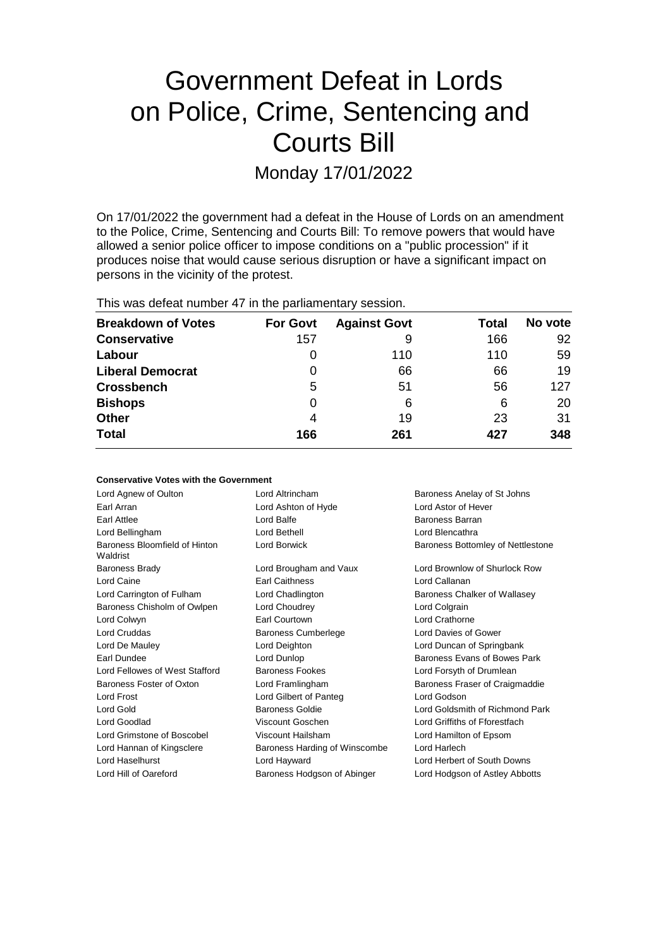# Government Defeat in Lords on Police, Crime, Sentencing and Courts Bill

Monday 17/01/2022

On 17/01/2022 the government had a defeat in the House of Lords on an amendment to the Police, Crime, Sentencing and Courts Bill: To remove powers that would have allowed a senior police officer to impose conditions on a "public procession" if it produces noise that would cause serious disruption or have a significant impact on persons in the vicinity of the protest.

This was defeat number 47 in the parliamentary session.

| <b>Breakdown of Votes</b> | <b>For Govt</b> | <b>Against Govt</b> | Total | No vote |
|---------------------------|-----------------|---------------------|-------|---------|
| <b>Conservative</b>       | 157             | 9                   | 166   | 92      |
| Labour                    | O               | 110                 | 110   | 59      |
| <b>Liberal Democrat</b>   | 0               | 66                  | 66    | 19      |
| <b>Crossbench</b>         | 5               | 51                  | 56    | 127     |
| <b>Bishops</b>            | 0               | 6                   | 6     | 20      |
| <b>Other</b>              | 4               | 19                  | 23    | 31      |
| <b>Total</b>              | 166             | 261                 | 427   | 348     |

| <b>Conservative Votes with the Government</b> |                               |                                   |  |
|-----------------------------------------------|-------------------------------|-----------------------------------|--|
| Lord Agnew of Oulton                          | Lord Altrincham               | Baroness Anelay of St Johns       |  |
| Earl Arran                                    | Lord Ashton of Hyde           | Lord Astor of Hever               |  |
| Earl Attlee                                   | Lord Balfe                    | Baroness Barran                   |  |
| Lord Bellingham                               | Lord Bethell                  | Lord Blencathra                   |  |
| Baroness Bloomfield of Hinton<br>Waldrist     | Lord Borwick                  | Baroness Bottomley of Nettlestone |  |
| <b>Baroness Brady</b>                         | Lord Brougham and Vaux        | Lord Brownlow of Shurlock Row     |  |
| Lord Caine                                    | <b>Earl Caithness</b>         | Lord Callanan                     |  |
| Lord Carrington of Fulham                     | Lord Chadlington              | Baroness Chalker of Wallasey      |  |
| Baroness Chisholm of Owlpen                   | Lord Choudrey                 | Lord Colgrain                     |  |
| Lord Colwyn                                   | Earl Courtown                 | Lord Crathorne                    |  |
| <b>Lord Cruddas</b>                           | <b>Baroness Cumberlege</b>    | Lord Davies of Gower              |  |
| Lord De Mauley                                | Lord Deighton                 | Lord Duncan of Springbank         |  |
| Earl Dundee                                   | Lord Dunlop                   | Baroness Evans of Bowes Park      |  |
| Lord Fellowes of West Stafford                | <b>Baroness Fookes</b>        | Lord Forsyth of Drumlean          |  |
| Baroness Foster of Oxton                      | Lord Framlingham              | Baroness Fraser of Craigmaddie    |  |
| Lord Frost                                    | Lord Gilbert of Panteg        | Lord Godson                       |  |
| Lord Gold                                     | Baroness Goldie               | Lord Goldsmith of Richmond Park   |  |
| Lord Goodlad                                  | Viscount Goschen              | Lord Griffiths of Fforestfach     |  |
| Lord Grimstone of Boscobel                    | Viscount Hailsham             | Lord Hamilton of Epsom            |  |
| Lord Hannan of Kingsclere                     | Baroness Harding of Winscombe | Lord Harlech                      |  |
| Lord Haselhurst                               | Lord Hayward                  | Lord Herbert of South Downs       |  |
| Lord Hill of Oareford                         | Baroness Hodgson of Abinger   | Lord Hodgson of Astley Abbotts    |  |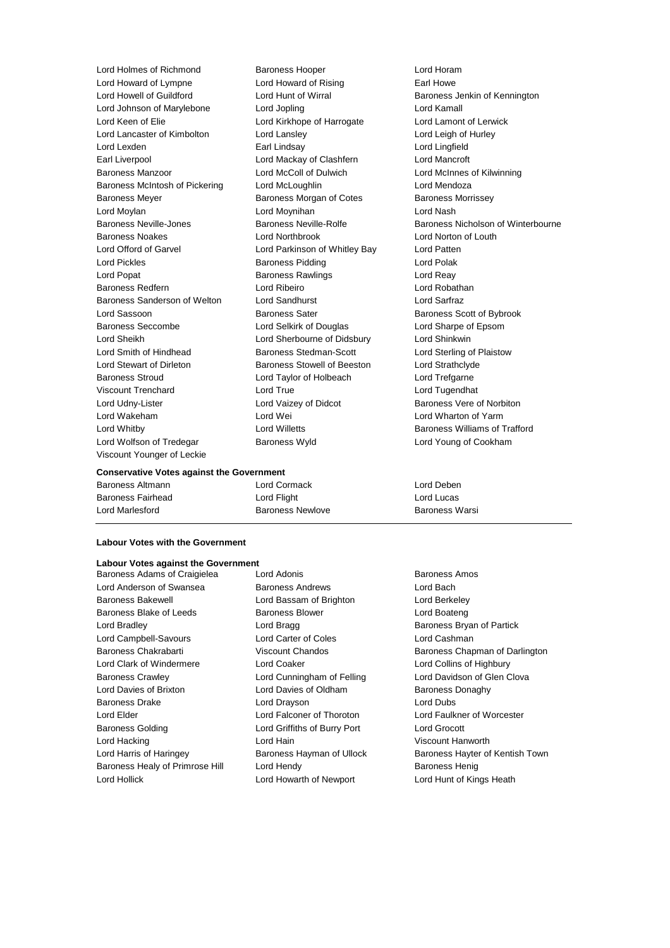Lord Howard of Lympne Lord Howard of Rising Earl Howe Lord Howell of Guildford Lord Hunt of Wirral Baroness Jenkin of Kennington Lord Johnson of Marylebone Lord Jopling Lord Kamall Lord Keen of Elie **Lord Kirkhope of Harrogate** Lord Lamont of Lerwick Lord Lancaster of Kimbolton Lord Lansley Cord Let a Lord Leigh of Hurley Lord Lexden Earl Lindsay Lord Lingfield Earl Liverpool Lord Mackay of Clashfern Lord Mancroft Baroness Manzoor Lord McColl of Dulwich Lord McInnes of Kilwinning Baroness McIntosh of Pickering Lord McLoughlin Lord Mendoza Baroness Meyer **Baroness Morgan of Cotes** Baroness Morrissey Lord Moylan Lord Moynihan Lord Nash Baroness Noakes Lord Northbrook Lord Norton of Louth Lord Offord of Garvel Lord Parkinson of Whitley Bay Lord Patten Lord Pickles **Baroness Pidding Lord Polak** Lord Polak Lord Popat **Baroness Rawlings** Lord Reay Baroness Redfern Lord Ribeiro Lord Robathan Baroness Sanderson of Welton Lord Sandhurst Lord Sarfraz Lord Sassoon **Baroness Sater** Baroness Sater **Baroness** Scott of Bybrook Baroness Seccombe Lord Selkirk of Douglas Lord Sharpe of Epsom Lord Sheikh Lord Sherbourne of Didsbury Lord Shinkwin Lord Smith of Hindhead Baroness Stedman-Scott Lord Sterling of Plaistow Lord Stewart of Dirleton Baroness Stowell of Beeston Lord Strathclyde Baroness Stroud Lord Taylor of Holbeach Lord Trefgarne Viscount Trenchard Lord True Lord Tugendhat Lord Udny-Lister **Lord Vaizey of Didcot** Baroness Vere of Norbiton Lord Wakeham **Lord Wei** Lord Wei **Lord Wharton of Yarm** Lord Whitby **Lord Willetts Baroness Williams of Trafford Lord Willetts Baroness Williams of Trafford** Lord Wolfson of Tredegar **Baroness Wyld Baroness Wyld** Lord Young of Cookham Viscount Younger of Leckie

Lord Holmes of Richmond Baroness Hooper Correct Lord Horam

Baroness Neville-Jones **Baroness Neville-Rolfe** Baroness Nicholson of Winterbourne

#### **Conservative Votes against the Government**

| Baroness Altmann         | Lord Cormack     | Lord Deben     |
|--------------------------|------------------|----------------|
| <b>Baroness Fairhead</b> | Lord Flight      | Lord Lucas     |
| Lord Marlesford          | Baroness Newlove | Baroness Warsi |

#### **Labour Votes with the Government**

# **Labour Votes against the Government**

Lord Anderson of Swansea Baroness Andrews Lord Bach Baroness Bakewell Lord Bassam of Brighton Lord Berkeley Baroness Blake of Leeds Baroness Blower Baroness Blower Lord Boateng Lord Bradley **Lord Bragg Community** Lord Bragg **Baroness Bryan of Partick** Lord Campbell-Savours Lord Carter of Coles Lord Cashman Baroness Chakrabarti **Viscount Chandos** Baroness Chapman of Darlington Lord Clark of Windermere Lord Coaker Lord Collins of Highbury Baroness Crawley Lord Cunningham of Felling Lord Davidson of Glen Clova Lord Davies of Brixton **Lord Davies of Oldham** Baroness Donaghy Baroness Drake **Lord Drayson** Lord Drayson **Lord Dubs** Lord Elder Lord Falconer of Thoroton Lord Faulkner of Worcester Baroness Golding Lord Griffiths of Burry Port Lord Grocott Lord Hacking Lord Hain Viscount Hanworth Lord Harris of Haringey Baroness Hayman of Ullock Baroness Hayter of Kentish Town Baroness Healy of Primrose Hill Lord Hendy **Baroness Henig** Baroness Henig Lord Hollick Lord Howarth of Newport Lord Hunt of Kings Heath

Baroness Adams of Craigielea Lord Adonis **Baroness Amos** Baroness Amos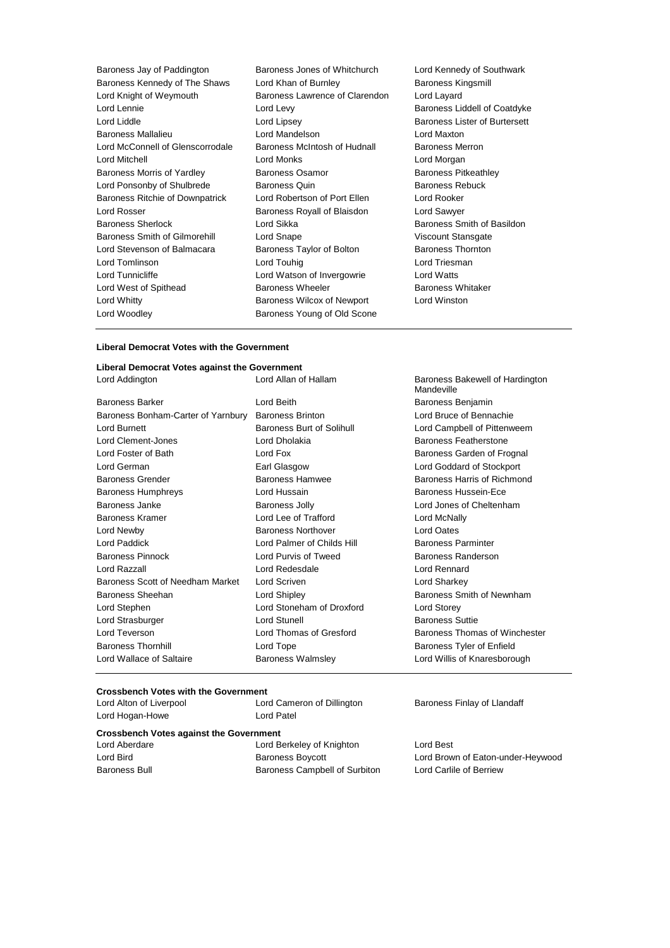| Baroness Jay of Paddington       | Baroness Jones of Whitchurch  |
|----------------------------------|-------------------------------|
| Baroness Kennedy of The Shaws    | Lord Khan of Burnley          |
| Lord Knight of Weymouth          | Baroness Lawrence of Clarendo |
| Lord Lennie                      | Lord Levy                     |
| Lord Liddle                      | Lord Lipsey                   |
| <b>Baroness Mallalieu</b>        | Lord Mandelson                |
| Lord McConnell of Glenscorrodale | Baroness McIntosh of Hudnall  |
| Lord Mitchell                    | Lord Monks                    |
| Baroness Morris of Yardley       | Baroness Osamor               |
| Lord Ponsonby of Shulbrede       | <b>Baroness Quin</b>          |
| Baroness Ritchie of Downpatrick  | Lord Robertson of Port Ellen  |
| Lord Rosser                      | Baroness Royall of Blaisdon   |
| <b>Baroness Sherlock</b>         | Lord Sikka                    |
| Baroness Smith of Gilmorehill    | Lord Snape                    |
| Lord Stevenson of Balmacara      | Baroness Taylor of Bolton     |
| Lord Tomlinson                   | Lord Touhig                   |
| Lord Tunnicliffe                 | Lord Watson of Invergowrie    |
| Lord West of Spithead            | <b>Baroness Wheeler</b>       |
| Lord Whitty                      | Baroness Wilcox of Newport    |
| Lord Woodley                     | Baroness Young of Old Scone   |
|                                  |                               |

Lord Kennedy of Southwark Baroness Kingsmill on Lord Layard Baroness Liddell of Coatdyke Baroness Lister of Burtersett Lord Maxton Baroness Merron Lord Morgan Baroness Pitkeathley Baroness Rebuck Lord Rooker Lord Sawyer Baroness Smith of Basildon Viscount Stansgate Baroness Thornton Lord Triesman Lord Watts Baroness Whitaker Lord Winston

of Hardington

#### **Liberal Democrat Votes with the Government**

### **Liberal Democrat Votes against the Government**

| Lord Addington                                      | Lord Allan of Hallam       | Baroness Bakewell of Hardington<br>Mandeville |
|-----------------------------------------------------|----------------------------|-----------------------------------------------|
| <b>Baroness Barker</b>                              | Lord Beith                 | Baroness Benjamin                             |
| Baroness Bonham-Carter of Yarnbury Baroness Brinton |                            | Lord Bruce of Bennachie                       |
| Lord Burnett                                        | Baroness Burt of Solihull  | Lord Campbell of Pittenweem                   |
| Lord Clement-Jones                                  | Lord Dholakia              | Baroness Featherstone                         |
| Lord Foster of Bath                                 | Lord Fox                   | Baroness Garden of Frognal                    |
| Lord German                                         | Earl Glasgow               | Lord Goddard of Stockport                     |
| <b>Baroness Grender</b>                             | <b>Baroness Hamwee</b>     | Baroness Harris of Richmond                   |
| <b>Baroness Humphreys</b>                           | Lord Hussain               | Baroness Hussein-Ece                          |
| Baroness Janke                                      | Baroness Jolly             | Lord Jones of Cheltenham                      |
| <b>Baroness Kramer</b>                              | Lord Lee of Trafford       | Lord McNally                                  |
| Lord Newby                                          | <b>Baroness Northover</b>  | Lord Oates                                    |
| Lord Paddick                                        | Lord Palmer of Childs Hill | <b>Baroness Parminter</b>                     |
| <b>Baroness Pinnock</b>                             | Lord Purvis of Tweed       | Baroness Randerson                            |
| Lord Razzall                                        | Lord Redesdale             | Lord Rennard                                  |
| Baroness Scott of Needham Market                    | Lord Scriven               | Lord Sharkey                                  |
| Baroness Sheehan                                    | Lord Shipley               | Baroness Smith of Newnham                     |
| Lord Stephen                                        | Lord Stoneham of Droxford  | Lord Storey                                   |
| Lord Strasburger                                    | Lord Stunell               | <b>Baroness Suttie</b>                        |
| Lord Teverson                                       | Lord Thomas of Gresford    | Baroness Thomas of Winchester                 |
| <b>Baroness Thornhill</b>                           | Lord Tope                  | Baroness Tyler of Enfield                     |
| Lord Wallace of Saltaire                            | <b>Baroness Walmsley</b>   | Lord Willis of Knaresborough                  |
|                                                     |                            |                                               |

# **Crossbench Votes with the Government**

Lord Alton of Liverpool Lord Cameron of Dillington Baroness Finlay of Llandaff Lord Hogan-Howe **Lord Patel** 

#### **Crossbench Votes against the Government**

| Lord Aberdare |  |
|---------------|--|
| Lord Bird     |  |
| Baroness Bull |  |

Lord Berkeley of Knighton Lord Best Baroness Campbell of Surbiton Lord Carlile of Berriew

Lord Bird Baroness Boycott Lord Brown of Eaton-under-Heywood